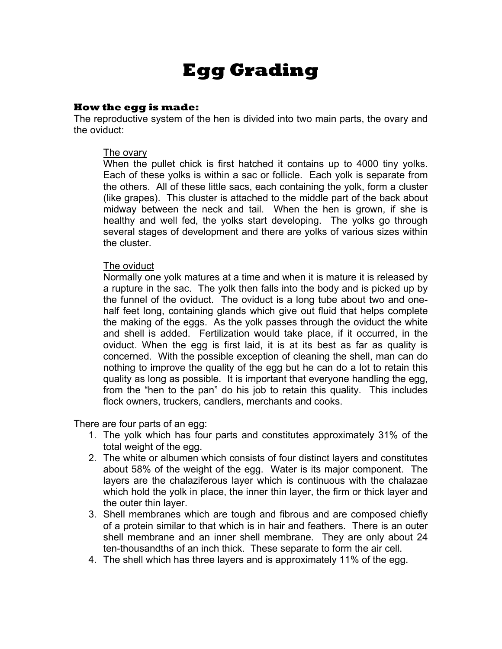# **Egg Grading**

#### **How the egg is made:**

The reproductive system of the hen is divided into two main parts, the ovary and the oviduct:

#### The ovary

When the pullet chick is first hatched it contains up to 4000 tiny yolks. Each of these yolks is within a sac or follicle. Each yolk is separate from the others. All of these little sacs, each containing the yolk, form a cluster (like grapes). This cluster is attached to the middle part of the back about midway between the neck and tail. When the hen is grown, if she is healthy and well fed, the yolks start developing. The yolks go through several stages of development and there are yolks of various sizes within the cluster.

#### The oviduct

Normally one yolk matures at a time and when it is mature it is released by a rupture in the sac. The yolk then falls into the body and is picked up by the funnel of the oviduct. The oviduct is a long tube about two and onehalf feet long, containing glands which give out fluid that helps complete the making of the eggs. As the yolk passes through the oviduct the white and shell is added. Fertilization would take place, if it occurred, in the oviduct. When the egg is first laid, it is at its best as far as quality is concerned. With the possible exception of cleaning the shell, man can do nothing to improve the quality of the egg but he can do a lot to retain this quality as long as possible. It is important that everyone handling the egg, from the "hen to the pan" do his job to retain this quality. This includes flock owners, truckers, candlers, merchants and cooks.

There are four parts of an egg:

- 1. The yolk which has four parts and constitutes approximately 31% of the total weight of the egg.
- 2. The white or albumen which consists of four distinct layers and constitutes about 58% of the weight of the egg. Water is its major component. The layers are the chalaziferous layer which is continuous with the chalazae which hold the yolk in place, the inner thin layer, the firm or thick layer and the outer thin layer.
- 3. Shell membranes which are tough and fibrous and are composed chiefly of a protein similar to that which is in hair and feathers. There is an outer shell membrane and an inner shell membrane. They are only about 24 ten-thousandths of an inch thick. These separate to form the air cell.
- 4. The shell which has three layers and is approximately 11% of the egg.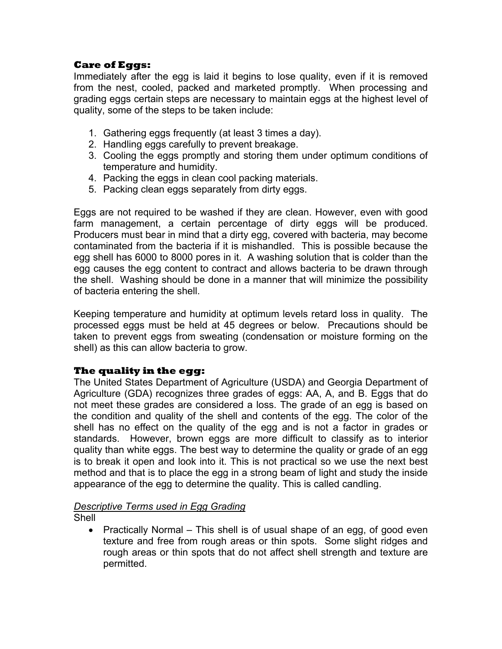# **Care of Eggs:**

Immediately after the egg is laid it begins to lose quality, even if it is removed from the nest, cooled, packed and marketed promptly. When processing and grading eggs certain steps are necessary to maintain eggs at the highest level of quality, some of the steps to be taken include:

- 1. Gathering eggs frequently (at least 3 times a day).
- 2. Handling eggs carefully to prevent breakage.
- 3. Cooling the eggs promptly and storing them under optimum conditions of temperature and humidity.
- 4. Packing the eggs in clean cool packing materials.
- 5. Packing clean eggs separately from dirty eggs.

Eggs are not required to be washed if they are clean. However, even with good farm management, a certain percentage of dirty eggs will be produced. Producers must bear in mind that a dirty egg, covered with bacteria, may become contaminated from the bacteria if it is mishandled. This is possible because the egg shell has 6000 to 8000 pores in it. A washing solution that is colder than the egg causes the egg content to contract and allows bacteria to be drawn through the shell. Washing should be done in a manner that will minimize the possibility of bacteria entering the shell.

Keeping temperature and humidity at optimum levels retard loss in quality. The processed eggs must be held at 45 degrees or below. Precautions should be taken to prevent eggs from sweating (condensation or moisture forming on the shell) as this can allow bacteria to grow.

# **The quality in the egg:**

The United States Department of Agriculture (USDA) and Georgia Department of Agriculture (GDA) recognizes three grades of eggs: AA, A, and B. Eggs that do not meet these grades are considered a loss. The grade of an egg is based on the condition and quality of the shell and contents of the egg. The color of the shell has no effect on the quality of the egg and is not a factor in grades or standards. However, brown eggs are more difficult to classify as to interior quality than white eggs. The best way to determine the quality or grade of an egg is to break it open and look into it. This is not practical so we use the next best method and that is to place the egg in a strong beam of light and study the inside appearance of the egg to determine the quality. This is called candling.

# *Descriptive Terms used in Egg Grading*

Shell

• Practically Normal – This shell is of usual shape of an egg, of good even texture and free from rough areas or thin spots. Some slight ridges and rough areas or thin spots that do not affect shell strength and texture are permitted.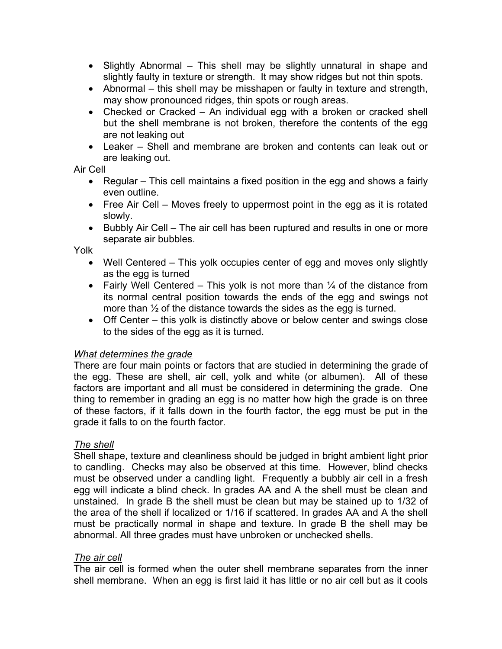- Slightly Abnormal This shell may be slightly unnatural in shape and slightly faulty in texture or strength. It may show ridges but not thin spots.
- Abnormal this shell may be misshapen or faulty in texture and strength, may show pronounced ridges, thin spots or rough areas.
- Checked or Cracked An individual egg with a broken or cracked shell but the shell membrane is not broken, therefore the contents of the egg are not leaking out
- Leaker Shell and membrane are broken and contents can leak out or are leaking out.

Air Cell

- Regular This cell maintains a fixed position in the egg and shows a fairly even outline.
- Free Air Cell Moves freely to uppermost point in the egg as it is rotated slowly.
- Bubbly Air Cell The air cell has been ruptured and results in one or more separate air bubbles.

Yolk

- Well Centered This yolk occupies center of egg and moves only slightly as the egg is turned
- Fairly Well Centered This yolk is not more than  $\frac{1}{4}$  of the distance from its normal central position towards the ends of the egg and swings not more than  $\frac{1}{2}$  of the distance towards the sides as the egg is turned.
- Off Center this yolk is distinctly above or below center and swings close to the sides of the egg as it is turned.

# *What determines the grade*

There are four main points or factors that are studied in determining the grade of the egg. These are shell, air cell, yolk and white (or albumen). All of these factors are important and all must be considered in determining the grade. One thing to remember in grading an egg is no matter how high the grade is on three of these factors, if it falls down in the fourth factor, the egg must be put in the grade it falls to on the fourth factor.

# *The shell*

Shell shape, texture and cleanliness should be judged in bright ambient light prior to candling. Checks may also be observed at this time. However, blind checks must be observed under a candling light. Frequently a bubbly air cell in a fresh egg will indicate a blind check. In grades AA and A the shell must be clean and unstained. In grade B the shell must be clean but may be stained up to 1/32 of the area of the shell if localized or 1/16 if scattered. In grades AA and A the shell must be practically normal in shape and texture. In grade B the shell may be abnormal. All three grades must have unbroken or unchecked shells.

# *The air cell*

The air cell is formed when the outer shell membrane separates from the inner shell membrane. When an egg is first laid it has little or no air cell but as it cools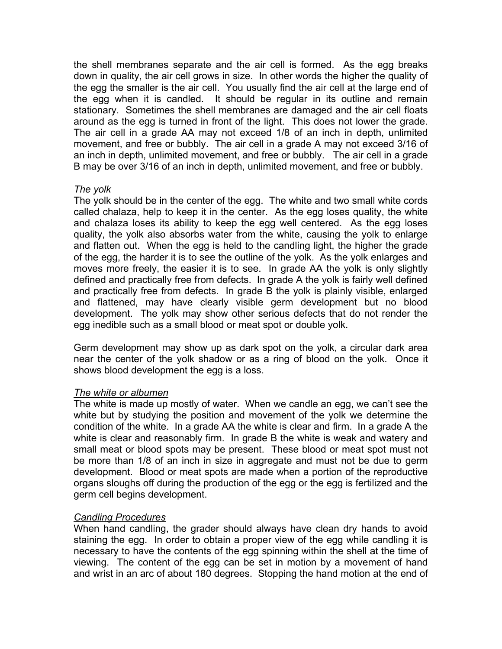the shell membranes separate and the air cell is formed. As the egg breaks down in quality, the air cell grows in size. In other words the higher the quality of the egg the smaller is the air cell. You usually find the air cell at the large end of the egg when it is candled. It should be regular in its outline and remain stationary. Sometimes the shell membranes are damaged and the air cell floats around as the egg is turned in front of the light. This does not lower the grade. The air cell in a grade AA may not exceed 1/8 of an inch in depth, unlimited movement, and free or bubbly. The air cell in a grade A may not exceed 3/16 of an inch in depth, unlimited movement, and free or bubbly. The air cell in a grade B may be over 3/16 of an inch in depth, unlimited movement, and free or bubbly.

# *The yolk*

The yolk should be in the center of the egg. The white and two small white cords called chalaza, help to keep it in the center. As the egg loses quality, the white and chalaza loses its ability to keep the egg well centered. As the egg loses quality, the yolk also absorbs water from the white, causing the yolk to enlarge and flatten out. When the egg is held to the candling light, the higher the grade of the egg, the harder it is to see the outline of the yolk. As the yolk enlarges and moves more freely, the easier it is to see. In grade AA the yolk is only slightly defined and practically free from defects. In grade A the yolk is fairly well defined and practically free from defects. In grade B the yolk is plainly visible, enlarged and flattened, may have clearly visible germ development but no blood development. The yolk may show other serious defects that do not render the egg inedible such as a small blood or meat spot or double yolk.

Germ development may show up as dark spot on the yolk, a circular dark area near the center of the yolk shadow or as a ring of blood on the yolk. Once it shows blood development the egg is a loss.

# *The white or albumen*

The white is made up mostly of water. When we candle an egg, we can't see the white but by studying the position and movement of the yolk we determine the condition of the white. In a grade AA the white is clear and firm. In a grade A the white is clear and reasonably firm. In grade B the white is weak and watery and small meat or blood spots may be present. These blood or meat spot must not be more than 1/8 of an inch in size in aggregate and must not be due to germ development. Blood or meat spots are made when a portion of the reproductive organs sloughs off during the production of the egg or the egg is fertilized and the germ cell begins development.

# *Candling Procedures*

When hand candling, the grader should always have clean dry hands to avoid staining the egg. In order to obtain a proper view of the egg while candling it is necessary to have the contents of the egg spinning within the shell at the time of viewing. The content of the egg can be set in motion by a movement of hand and wrist in an arc of about 180 degrees. Stopping the hand motion at the end of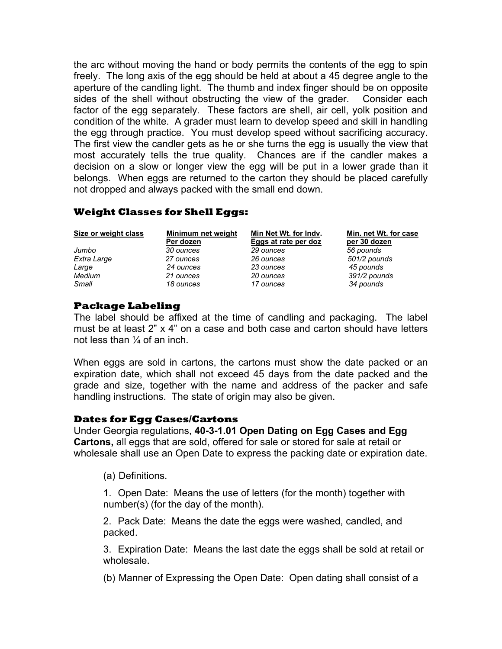the arc without moving the hand or body permits the contents of the egg to spin freely. The long axis of the egg should be held at about a 45 degree angle to the aperture of the candling light. The thumb and index finger should be on opposite sides of the shell without obstructing the view of the grader. Consider each factor of the egg separately. These factors are shell, air cell, yolk position and condition of the white. A grader must learn to develop speed and skill in handling the egg through practice. You must develop speed without sacrificing accuracy. The first view the candler gets as he or she turns the egg is usually the view that most accurately tells the true quality. Chances are if the candler makes a decision on a slow or longer view the egg will be put in a lower grade than it belongs. When eggs are returned to the carton they should be placed carefully not dropped and always packed with the small end down.

# **Weight Classes for Shell Eggs:**

| Size or weight class | Minimum net weight<br>Per dozen | Min Net Wt. for Indv.<br>Eggs at rate per doz | Min. net Wt. for case<br>per 30 dozen |
|----------------------|---------------------------------|-----------------------------------------------|---------------------------------------|
| Jumbo                | 30 ounces                       | 29 ounces                                     | 56 pounds                             |
| Extra Large          | 27 ounces                       | 26 ounces                                     | 501/2 pounds                          |
| Large                | 24 ounces                       | 23 ounces                                     | 45 pounds                             |
| Medium               | 21 ounces                       | 20 ounces                                     | 391/2 pounds                          |
| Small                | 18 ounces                       | 17 ounces                                     | 34 pounds                             |

# **Package Labeling**

The label should be affixed at the time of candling and packaging. The label must be at least 2" x 4" on a case and both case and carton should have letters not less than ¼ of an inch.

When eggs are sold in cartons, the cartons must show the date packed or an expiration date, which shall not exceed 45 days from the date packed and the grade and size, together with the name and address of the packer and safe handling instructions. The state of origin may also be given.

# **Dates for Egg Cases/Cartons**

Under Georgia regulations, **40-3-1.01 Open Dating on Egg Cases and Egg Cartons,** all eggs that are sold, offered for sale or stored for sale at retail or wholesale shall use an Open Date to express the packing date or expiration date.

(a) Definitions.

1. Open Date: Means the use of letters (for the month) together with number(s) (for the day of the month).

2. Pack Date: Means the date the eggs were washed, candled, and packed.

3. Expiration Date: Means the last date the eggs shall be sold at retail or wholesale.

(b) Manner of Expressing the Open Date: Open dating shall consist of a